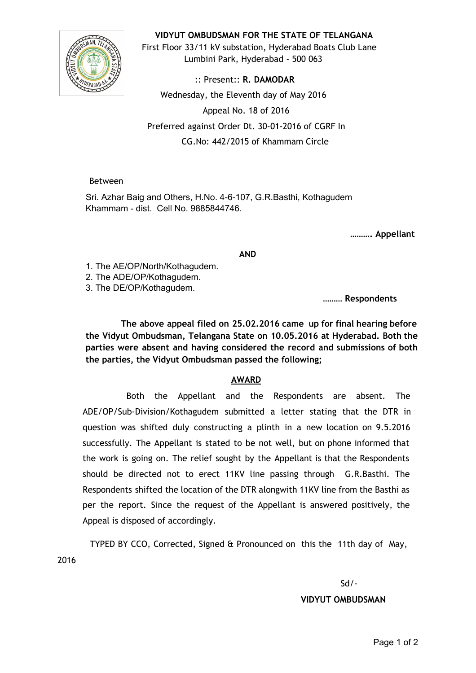

## **VIDYUT OMBUDSMAN FOR THE STATE OF TELANGANA**

First Floor 33/11 kV substation, Hyderabad Boats Club Lane Lumbini Park, Hyderabad ‐ 500 063

:: Present:: **R. DAMODAR** Wednesday, the Eleventh day of May 2016 Appeal No. 18 of 2016 Preferred against Order Dt. 30‐01‐2016 of CGRF In CG.No: 442/2015 of Khammam Circle

## Between

Sri. Azhar Baig and Others, H.No. 4-6-107, G.R.Basthi, Kothagudem Khammam - dist. Cell No. 9885844746.

**………. Appellant**

**AND**

1. The AE/OP/North/Kothagudem.

2. The ADE/OP/Kothagudem.

3. The DE/OP/Kothagudem.

**……… Respondents**

**The above appeal filed on 25.02.2016 came up for final hearing before the Vidyut Ombudsman, Telangana State on 10.05.2016 at Hyderabad. Both the parties were absent and having considered the record and submissions of both the parties, the Vidyut Ombudsman passed the following;**

## **AWARD**

Both the Appellant and the Respondents are absent. The ADE/OP/Sub‐Division/Kothagudem submitted a letter stating that the DTR in question was shifted duly constructing a plinth in a new location on 9.5.2016 successfully. The Appellant is stated to be not well, but on phone informed that the work is going on. The relief sought by the Appellant is that the Respondents should be directed not to erect 11KV line passing through G.R.Basthi. The Respondents shifted the location of the DTR alongwith 11KV line from the Basthi as per the report. Since the request of the Appellant is answered positively, the Appeal is disposed of accordingly.

TYPED BY CCO, Corrected, Signed & Pronounced on this the 11th day of May, 2016

Sd/‐

**VIDYUT OMBUDSMAN**